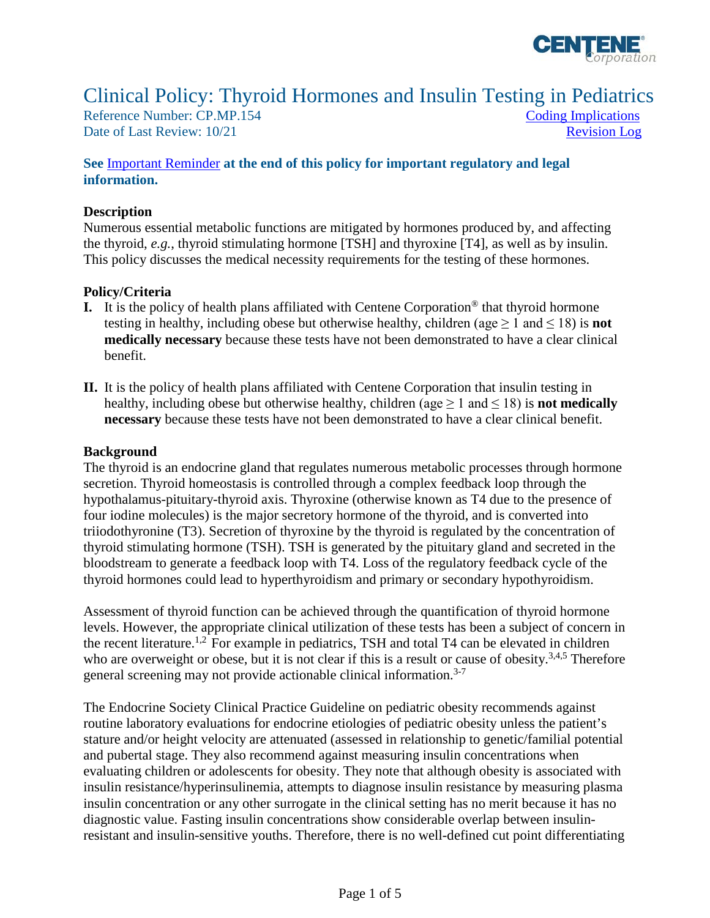

# Clinical Policy: Thyroid Hormones and Insulin Testing in Pediatrics

Reference Number: CP.MP.154 Coding Implications Date of Last Review: 10/21 Revision Log

#### **See** [Important Reminder](#page-3-0) **at the end of this policy for important regulatory and legal information.**

#### **Description**

the thyroid, e.g., thyroid stimulating hormone [TSH] and thyroxine [T4], as well as by insulin. the thyroid, *e.g.*, thyroid stimulating hormone [TSH] and thyroxine [T4], as well as by insulin. This policy discusses the medical necessity requirements for the testing of these hormones. Numerous essential metabolic functions are mitigated by hormones produced by, and affecting

#### **Policy/Criteria**

- **I.** It is the policy of health plans affiliated with Centene Corporation® that thyroid hormone testing in healthy, including obese but otherwise healthy, children (age  $\geq 1$  and  $\leq 18$ ) is **not medically necessary** because these tests have not been demonstrated to have a clear clinical benefit.
- **II.** It is the policy of health plans affiliated with Centene Corporation that insulin testing in healthy, including obese but otherwise healthy, children (age  $\geq 1$  and  $\leq 18$ ) is **not medically necessary** because these tests have not been demonstrated to have a clear clinical benefit.

#### **Background**

 The thyroid is an endocrine gland that regulates numerous metabolic processes through hormone bloodstream to generate a feedback loop with T4. Loss of the regulatory feedback cycle of the thyroid hormones could lead to hyperthyroidism and primary or secondary hypothyroidism. secretion. Thyroid homeostasis is controlled through a complex feedback loop through the hypothalamus-pituitary-thyroid axis. Thyroxine (otherwise known as T4 due to the presence of four iodine molecules) is the major secretory hormone of the thyroid, and is converted into triiodothyronine (T3). Secretion of thyroxine by the thyroid is regulated by the concentration of thyroid stimulating hormone (TSH). TSH is generated by the pituitary gland and secreted in the

Assessment of thyroid function can be achieved through the quantification of thyroid hormone levels. However, the appropriate clinical utilization of these tests has been a subject of concern in the recent literature.<sup>1,2</sup> For example in pediatrics, TSH and total T4 can be elevated in children who are overweight or obese, but it is not clear if this is a result or cause of obesity.<sup>3,4,5</sup> Therefore general screening may not provide actionable clinical information.<sup>3-7</sup>

 resistant and insulin-sensitive youths. Therefore, there is no well-defined cut point differentiating The Endocrine Society Clinical Practice Guideline on pediatric obesity recommends against routine laboratory evaluations for endocrine etiologies of pediatric obesity unless the patient's stature and/or height velocity are attenuated (assessed in relationship to genetic/familial potential and pubertal stage. They also recommend against measuring insulin concentrations when evaluating children or adolescents for obesity. They note that although obesity is associated with insulin resistance/hyperinsulinemia, attempts to diagnose insulin resistance by measuring plasma insulin concentration or any other surrogate in the clinical setting has no merit because it has no diagnostic value. Fasting insulin concentrations show considerable overlap between insulin-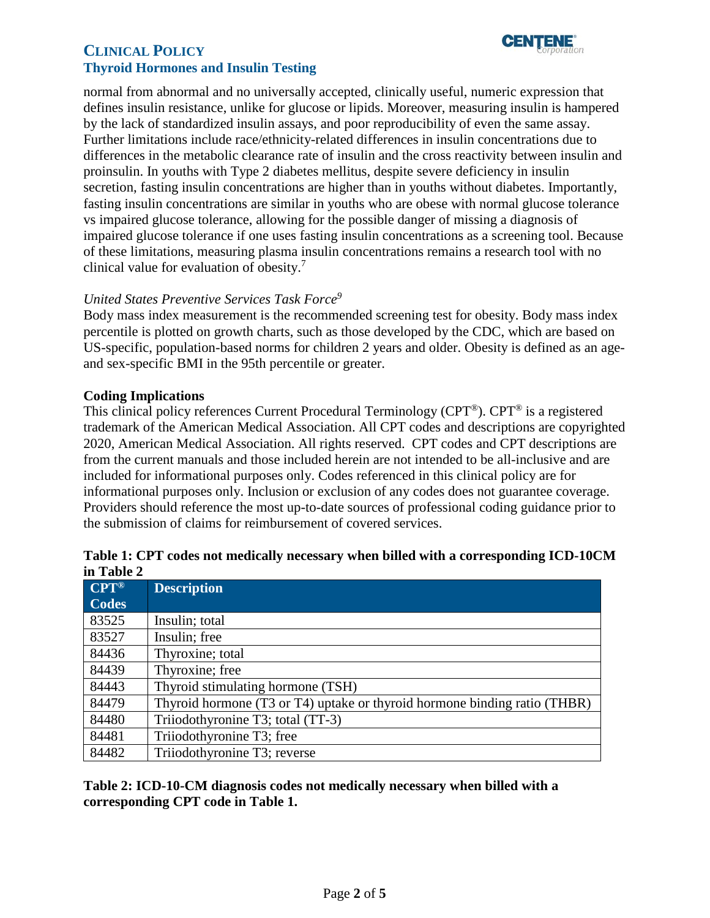# **CLINICAL POLICY CLINICAL POLICY Thyroid Hormones and Insulin Testing**



normal from abnormal and no universally accepted, clinically useful, numeric expression that defines insulin resistance, unlike for glucose or lipids. Moreover, measuring insulin is hampered by the lack of standardized insulin assays, and poor reproducibility of even the same assay. Further limitations include race/ethnicity-related differences in insulin concentrations due to differences in the metabolic clearance rate of insulin and the cross reactivity between insulin and proinsulin. In youths with Type 2 diabetes mellitus, despite severe deficiency in insulin secretion, fasting insulin concentrations are higher than in youths without diabetes. Importantly, fasting insulin concentrations are similar in youths who are obese with normal glucose tolerance vs impaired glucose tolerance, allowing for the possible danger of missing a diagnosis of impaired glucose tolerance if one uses fasting insulin concentrations as a screening tool. Because of these limitations, measuring plasma insulin concentrations remains a research tool with no clinical value for evaluation of obesity.<sup>7</sup>

## *United States Preventive Services Task Force9*

Body mass index measurement is the recommended screening test for obesity. Body mass index percentile is plotted on growth charts, such as those developed by the CDC, which are based on US-specific, population-based norms for children 2 years and older. Obesity is defined as an ageand sex-specific BMI in the 95th percentile or greater.

## <span id="page-1-0"></span>**Coding Implications**

This clinical policy references Current Procedural Terminology (CPT®). CPT® is a registered trademark of the American Medical Association. All CPT codes and descriptions are copyrighted 2020, American Medical Association. All rights reserved. CPT codes and CPT descriptions are from the current manuals and those included herein are not intended to be all-inclusive and are included for informational purposes only. Codes referenced in this clinical policy are for informational purposes only. Inclusion or exclusion of any codes does not guarantee coverage. Providers should reference the most up-to-date sources of professional coding guidance prior to the submission of claims for reimbursement of covered services.

|                   | TWORK IT OF A COUGO HOU HIGHGHITY HOCCOONEY WHEN OHIGH WANT M COLLED DO DOWNT |
|-------------------|-------------------------------------------------------------------------------|
| in Table 2        |                                                                               |
| $CPT^{\circledR}$ | <b>Description</b>                                                            |
| <b>Codes</b>      |                                                                               |

| Table 1: CPT codes not medically necessary when billed with a corresponding ICD-10CM |  |  |
|--------------------------------------------------------------------------------------|--|--|
| in Table 2                                                                           |  |  |

| ve e  | Description                                                               |
|-------|---------------------------------------------------------------------------|
| Codes |                                                                           |
| 83525 | Insulin; total                                                            |
| 83527 | Insulin; free                                                             |
| 84436 | Thyroxine; total                                                          |
| 84439 | Thyroxine; free                                                           |
| 84443 | Thyroid stimulating hormone (TSH)                                         |
| 84479 | Thyroid hormone (T3 or T4) uptake or thyroid hormone binding ratio (THBR) |
| 84480 | Triiodothyronine T3; total (TT-3)                                         |
| 84481 | Triiodothyronine T3; free                                                 |
| 84482 | Triiodothyronine T3; reverse                                              |

**Table 2: ICD-10-CM diagnosis codes not medically necessary when billed with a corresponding CPT code in Table 1.**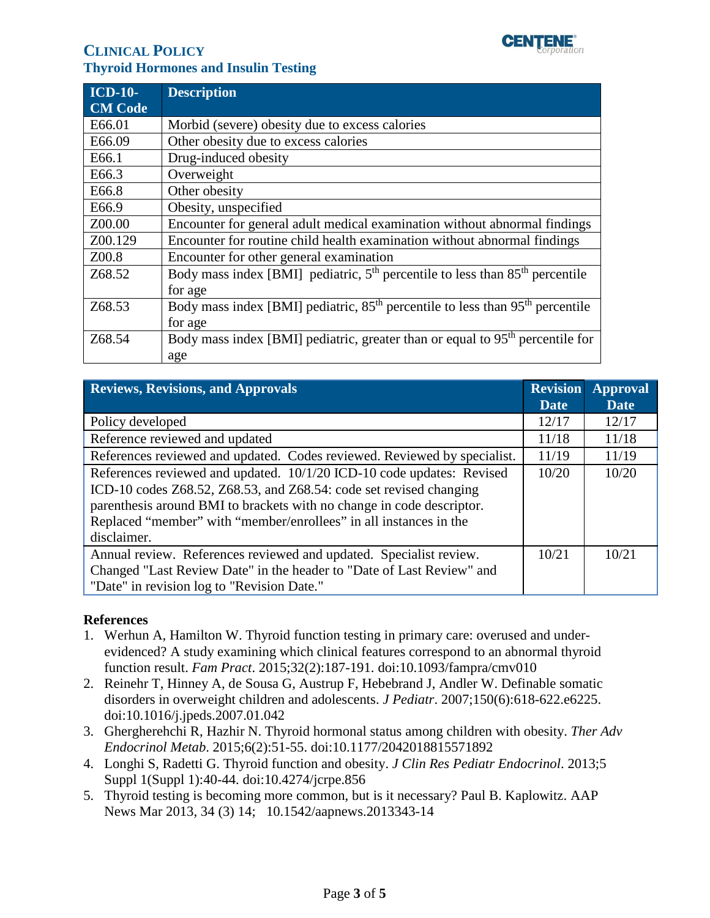

# **CLINICAL POLICY CLINICAL POLICY Thyroid Hormones and Insulin Testing**

| <b>ICD-10-</b> | <b>Description</b>                                                                        |
|----------------|-------------------------------------------------------------------------------------------|
| <b>CM Code</b> |                                                                                           |
| E66.01         | Morbid (severe) obesity due to excess calories                                            |
| E66.09         | Other obesity due to excess calories                                                      |
| E66.1          | Drug-induced obesity                                                                      |
| E66.3          | Overweight                                                                                |
| E66.8          | Other obesity                                                                             |
| E66.9          | Obesity, unspecified                                                                      |
| Z00.00         | Encounter for general adult medical examination without abnormal findings                 |
| Z00.129        | Encounter for routine child health examination without abnormal findings                  |
| Z00.8          | Encounter for other general examination                                                   |
| Z68.52         | Body mass index [BMI] pediatric, $5th$ percentile to less than $85th$ percentile          |
|                | for age                                                                                   |
| Z68.53         | Body mass index [BMI] pediatric, $85th$ percentile to less than $95th$ percentile         |
|                | for age                                                                                   |
| Z68.54         | Body mass index [BMI] pediatric, greater than or equal to 95 <sup>th</sup> percentile for |
|                | age                                                                                       |

<span id="page-2-0"></span>

| <b>Reviews, Revisions, and Approvals</b>                                                                                                                                                                                                                                                                 |             | <b>Revision</b><br><b>Approval</b> |
|----------------------------------------------------------------------------------------------------------------------------------------------------------------------------------------------------------------------------------------------------------------------------------------------------------|-------------|------------------------------------|
|                                                                                                                                                                                                                                                                                                          | <b>Date</b> | <b>Date</b>                        |
| Policy developed                                                                                                                                                                                                                                                                                         | 12/17       | 12/17                              |
| Reference reviewed and updated                                                                                                                                                                                                                                                                           | 11/18       | 11/18                              |
| References reviewed and updated. Codes reviewed. Reviewed by specialist.                                                                                                                                                                                                                                 | 11/19       | 11/19                              |
| References reviewed and updated. 10/1/20 ICD-10 code updates: Revised<br>ICD-10 codes Z68.52, Z68.53, and Z68.54: code set revised changing<br>parenthesis around BMI to brackets with no change in code descriptor.<br>Replaced "member" with "member/enrollees" in all instances in the<br>disclaimer. | 10/20       | 10/20                              |
| Annual review. References reviewed and updated. Specialist review.<br>Changed "Last Review Date" in the header to "Date of Last Review" and<br>"Date" in revision log to "Revision Date."                                                                                                                | 10/21       | 10/21                              |

## **References**

- 1. Werhun A, Hamilton W. Thyroid function testing in primary care: overused and underevidenced? A study examining which clinical features correspond to an abnormal thyroid function result. *Fam Pract*. 2015;32(2):187-191. doi:10.1093/fampra/cmv010
- 2. Reinehr T, Hinney A, de Sousa G, Austrup F, Hebebrand J, Andler W. Definable somatic disorders in overweight children and adolescents. *J Pediatr*. 2007;150(6):618-622.e6225. doi:10.1016/j.jpeds.2007.01.042
- 3. Ghergherehchi R, Hazhir N. Thyroid hormonal status among children with obesity. *Ther Adv Endocrinol Metab*. 2015;6(2):51-55. doi:10.1177/2042018815571892
- 4. Longhi S, Radetti G. Thyroid function and obesity. *J Clin Res Pediatr Endocrinol*. 2013;5 Suppl 1(Suppl 1):40-44. doi:10.4274/jcrpe.856
- 5. Thyroid testing is becoming more common, but is it necessary? Paul B. Kaplowitz. AAP News Mar 2013, 34 (3) 14; 10.1542/aapnews.2013343-14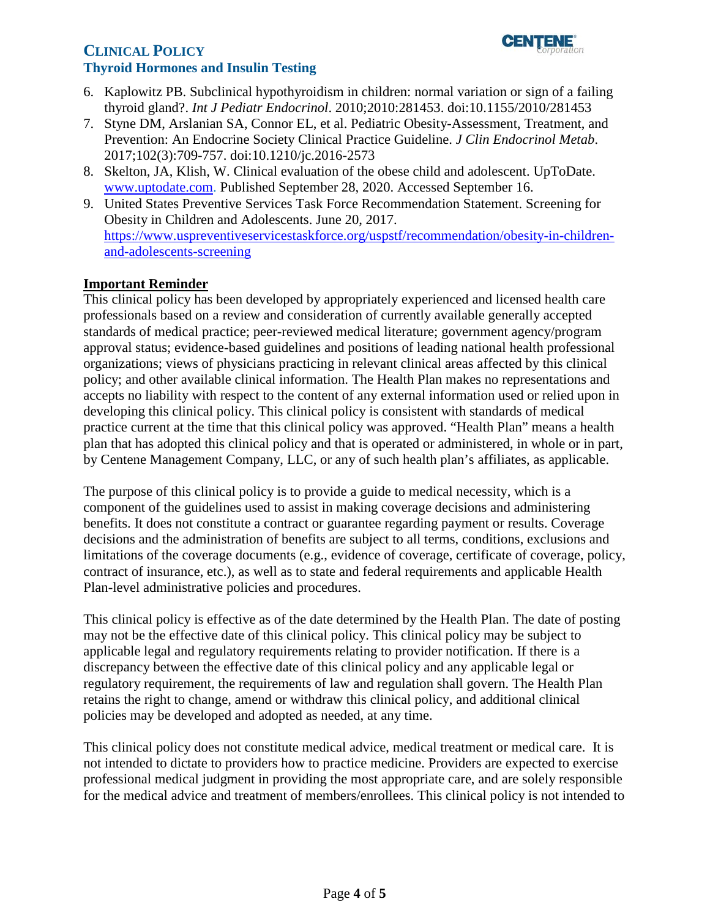# **CLINICAL POLICY** *l***<sub>corporation</sub> Thyroid Hormones and Insulin Testing**



- 6. Kaplowitz PB. Subclinical hypothyroidism in children: normal variation or sign of a failing thyroid gland?. *Int J Pediatr Endocrinol*. 2010;2010:281453. doi:10.1155/2010/281453
- 7. Styne DM, Arslanian SA, Connor EL, et al. Pediatric Obesity-Assessment, Treatment, and Prevention: An Endocrine Society Clinical Practice Guideline. *J Clin Endocrinol Metab*. 2017;102(3):709-757. doi:10.1210/jc.2016-2573
- 8. Skelton, JA, Klish, W. Clinical evaluation of the obese child and adolescent. UpToDate. [www.uptodate.com.](http://www.uptodate.com/) Published September 28, 2020. Accessed September 16.
- 9. United States Preventive Services Task Force Recommendation Statement. Screening for Obesity in Children and Adolescents. June 20, 2017. [https://www.uspreventiveservicestaskforce.org/uspstf/recommendation/obesity-in-children](https://www.uspreventiveservicestaskforce.org/uspstf/recommendation/obesity-in-children-and-adolescents-screening)[and-adolescents-screening](https://www.uspreventiveservicestaskforce.org/uspstf/recommendation/obesity-in-children-and-adolescents-screening)

## <span id="page-3-0"></span>**Important Reminder**

 This clinical policy has been developed by appropriately experienced and licensed health care professionals based on a review and consideration of currently available generally accepted by Centene Management Company, LLC, or any of such health plan's affiliates, as applicable. standards of medical practice; peer-reviewed medical literature; government agency/program approval status; evidence-based guidelines and positions of leading national health professional organizations; views of physicians practicing in relevant clinical areas affected by this clinical policy; and other available clinical information. The Health Plan makes no representations and accepts no liability with respect to the content of any external information used or relied upon in developing this clinical policy. This clinical policy is consistent with standards of medical practice current at the time that this clinical policy was approved. "Health Plan" means a health plan that has adopted this clinical policy and that is operated or administered, in whole or in part,

 The purpose of this clinical policy is to provide a guide to medical necessity, which is a component of the guidelines used to assist in making coverage decisions and administering benefits. It does not constitute a contract or guarantee regarding payment or results. Coverage decisions and the administration of benefits are subject to all terms, conditions, exclusions and limitations of the coverage documents (e.g., evidence of coverage, certificate of coverage, policy, contract of insurance, etc.), as well as to state and federal requirements and applicable Health Plan-level administrative policies and procedures.

 applicable legal and regulatory requirements relating to provider notification. If there is a This clinical policy is effective as of the date determined by the Health Plan. The date of posting may not be the effective date of this clinical policy. This clinical policy may be subject to discrepancy between the effective date of this clinical policy and any applicable legal or regulatory requirement, the requirements of law and regulation shall govern. The Health Plan retains the right to change, amend or withdraw this clinical policy, and additional clinical policies may be developed and adopted as needed, at any time.

 This clinical policy does not constitute medical advice, medical treatment or medical care. It is not intended to dictate to providers how to practice medicine. Providers are expected to exercise professional medical judgment in providing the most appropriate care, and are solely responsible for the medical advice and treatment of members/enrollees. This clinical policy is not intended to